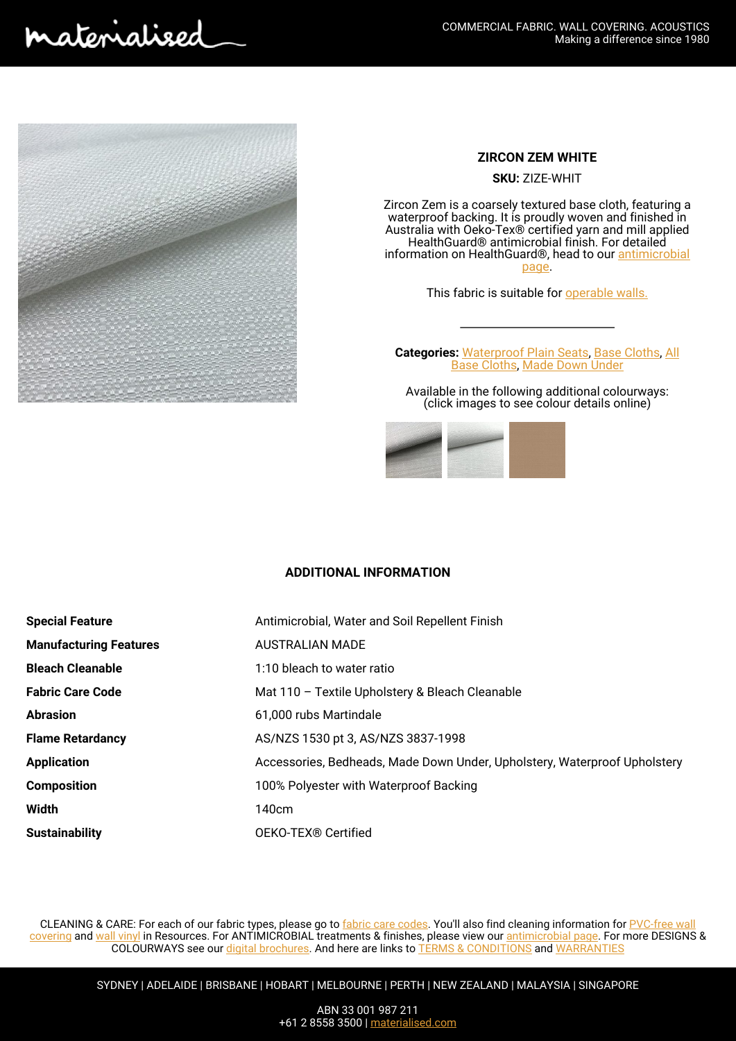naterialised



## **ZIRCON ZEM WHITE**

**SKU:** ZIZE-WHIT

Zircon Zem is a coarsely textured base cloth, featuring a waterproof backing. It is proudly woven and finished in Australia with Oeko-Tex® certified yarn and mill applied HealthGuard® antimicrobial finish. For detailed information on HealthGuard®, head to our [antimicrobial](https://materialised.com.au/resources/antimicrobial-fabric/) [page](https://materialised.com.au/resources/antimicrobial-fabric/).

This fabric is suitable for **operable walls**.

**Categories:** [Waterproof Plain Seats](https://materialised.com.au/product-category/seats/plain-seats/waterproof-plain-seats/), [Base Cloths,](https://materialised.com.au/product-category/made-down-under/base-cloths-made-down-under/) [All](https://materialised.com.au/product-category/all-base-cloths/) [Base Cloths](https://materialised.com.au/product-category/all-base-cloths/), [Made Down Under](https://materialised.com.au/product-category/made-down-under/)

Available in the following additional colourways: (click images to see colour details online)



## **ADDITIONAL INFORMATION**

| <b>Special Feature</b>        | Antimicrobial, Water and Soil Repellent Finish                            |
|-------------------------------|---------------------------------------------------------------------------|
| <b>Manufacturing Features</b> | <b>AUSTRALIAN MADE</b>                                                    |
| <b>Bleach Cleanable</b>       | 1:10 bleach to water ratio                                                |
| <b>Fabric Care Code</b>       | Mat 110 - Textile Upholstery & Bleach Cleanable                           |
| <b>Abrasion</b>               | 61.000 rubs Martindale                                                    |
| <b>Flame Retardancy</b>       | AS/NZS 1530 pt 3, AS/NZS 3837-1998                                        |
| <b>Application</b>            | Accessories, Bedheads, Made Down Under, Upholstery, Waterproof Upholstery |
| <b>Composition</b>            | 100% Polyester with Waterproof Backing                                    |
| Width                         | 140cm                                                                     |
| <b>Sustainability</b>         | OEKO-TEX <sup>®</sup> Certified                                           |

CLEANING & CARE: For each of our fabric types, please go to *fabric care codes*. You'll also find cleaning information for [PVC-free wall](https://materialised.com.au/resources/cleaning-care/pvc-free-wall-covering/) [covering](https://materialised.com.au/resources/cleaning-care/pvc-free-wall-covering/) and [wall vinyl](https://materialised.com.au/resources/cleaning-care/wall-vinyl/) in Resources. For ANTIMICROBIAL treatments & finishes, please view our [antimicrobial page.](https://materialised.com.au/resources/antimicrobial-fabric/) For more DESIGNS & COLOURWAYS see our [digital brochures](https://materialised.com.au/resources/digital-brochures/). And here are links to [TERMS & CONDITIONS](https://materialised.com.au/wp-content/uploads/2019/10/Terms-and-Conditions.pdf) and [WARRANTIES](https://materialised.com.au/resources/warranties/)

SYDNEY | ADELAIDE | BRISBANE | HOBART | MELBOURNE | PERTH | NEW ZEALAND | MALAYSIA | SINGAPORE

ABN 33 001 987 211 +61 2 8558 3500 | [materialised.com](http://www.materialised.com)